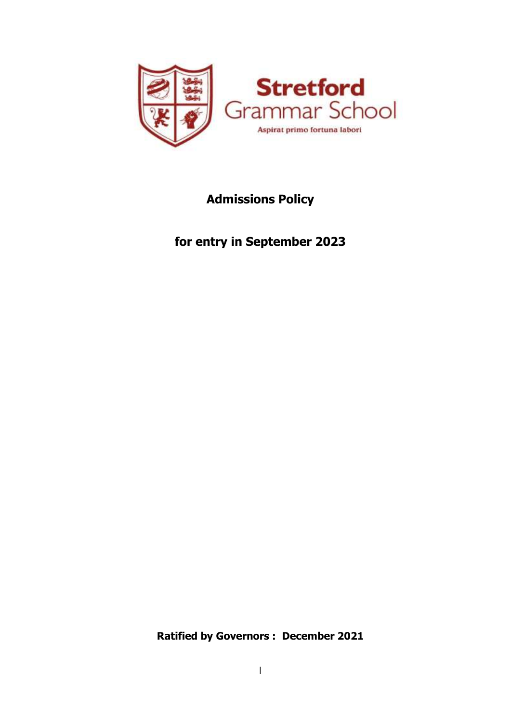

# **Admissions Policy**

**for entry in September 2023** 

**Ratified by Governors : December 2021**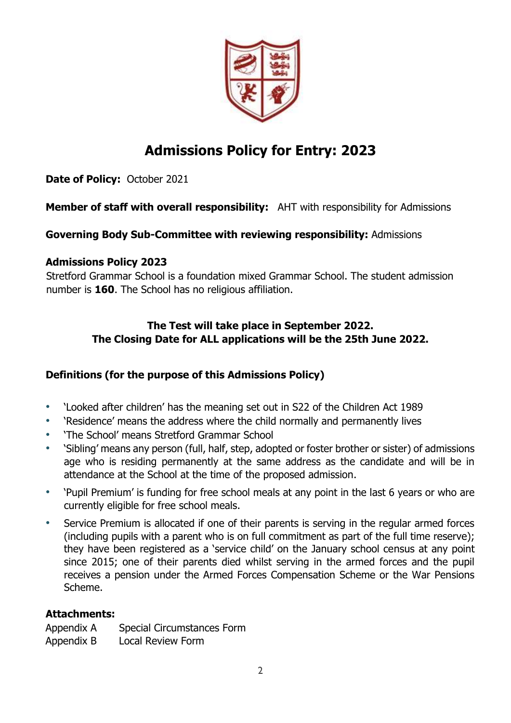

# **Admissions Policy for Entry: 2023**

**Date of Policy:** October 2021

## **Member of staff with overall responsibility:** AHT with responsibility for Admissions

## **Governing Body Sub-Committee with reviewing responsibility:** Admissions

## **Admissions Policy 2023**

Stretford Grammar School is a foundation mixed Grammar School. The student admission number is **160**. The School has no religious affiliation.

## **The Test will take place in September 2022. The Closing Date for ALL applications will be the 25th June 2022.**

## **Definitions (for the purpose of this Admissions Policy)**

- 'Looked after children' has the meaning set out in S22 of the Children Act 1989
- 'Residence' means the address where the child normally and permanently lives
- 'The School' means Stretford Grammar School
- 'Sibling' means any person (full, half, step, adopted or foster brother or sister) of admissions age who is residing permanently at the same address as the candidate and will be in attendance at the School at the time of the proposed admission.
- 'Pupil Premium' is funding for free school meals at any point in the last 6 years or who are currently eligible for free school meals.
- Service Premium is allocated if one of their parents is serving in the regular armed forces (including pupils with a parent who is on full commitment as part of the full time reserve); they have been registered as a 'service child' on the January school census at any point since 2015; one of their parents died whilst serving in the armed forces and the pupil receives a pension under the Armed Forces Compensation Scheme or the War Pensions Scheme.

## **Attachments:**

Appendix A Special Circumstances Form Appendix B Local Review Form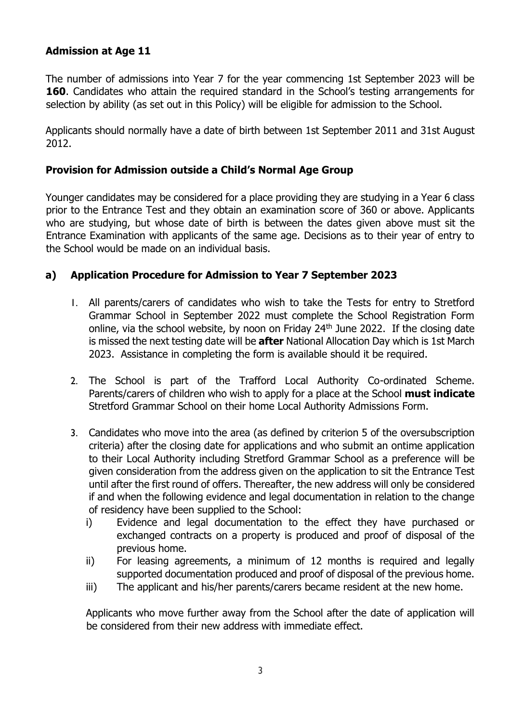#### **Admission at Age 11**

The number of admissions into Year 7 for the year commencing 1st September 2023 will be **160.** Candidates who attain the required standard in the School's testing arrangements for selection by ability (as set out in this Policy) will be eligible for admission to the School.

Applicants should normally have a date of birth between 1st September 2011 and 31st August 2012.

#### **Provision for Admission outside a Child's Normal Age Group**

Younger candidates may be considered for a place providing they are studying in a Year 6 class prior to the Entrance Test and they obtain an examination score of 360 or above. Applicants who are studying, but whose date of birth is between the dates given above must sit the Entrance Examination with applicants of the same age. Decisions as to their year of entry to the School would be made on an individual basis.

#### **a) Application Procedure for Admission to Year 7 September 2023**

- 1. All parents/carers of candidates who wish to take the Tests for entry to Stretford Grammar School in September 2022 must complete the School Registration Form online, via the school website, by noon on Friday 24<sup>th</sup> June 2022. If the closing date is missed the next testing date will be **after** National Allocation Day which is 1st March 2023. Assistance in completing the form is available should it be required.
- 2. The School is part of the Trafford Local Authority Co-ordinated Scheme. Parents/carers of children who wish to apply for a place at the School **must indicate** Stretford Grammar School on their home Local Authority Admissions Form.
- 3. Candidates who move into the area (as defined by criterion 5 of the oversubscription criteria) after the closing date for applications and who submit an ontime application to their Local Authority including Stretford Grammar School as a preference will be given consideration from the address given on the application to sit the Entrance Test until after the first round of offers. Thereafter, the new address will only be considered if and when the following evidence and legal documentation in relation to the change of residency have been supplied to the School:
	- i) Evidence and legal documentation to the effect they have purchased or exchanged contracts on a property is produced and proof of disposal of the previous home.
	- ii) For leasing agreements, a minimum of 12 months is required and legally supported documentation produced and proof of disposal of the previous home.
	- iii) The applicant and his/her parents/carers became resident at the new home.

Applicants who move further away from the School after the date of application will be considered from their new address with immediate effect.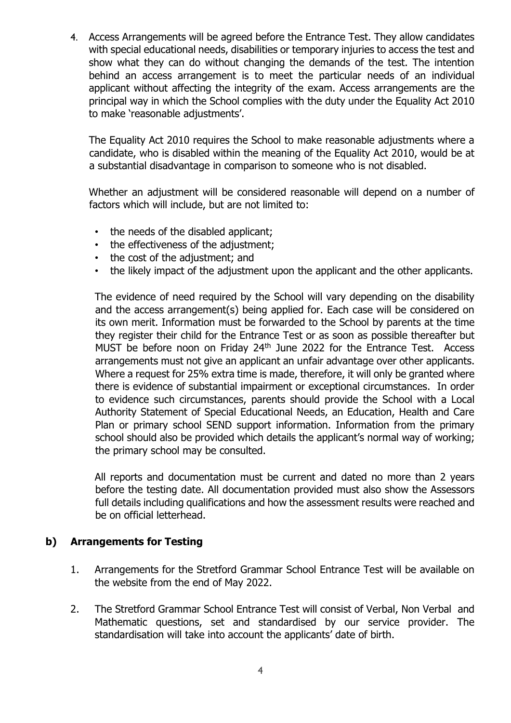4. Access Arrangements will be agreed before the Entrance Test. They allow candidates with special educational needs, disabilities or temporary injuries to access the test and show what they can do without changing the demands of the test. The intention behind an access arrangement is to meet the particular needs of an individual applicant without affecting the integrity of the exam. Access arrangements are the principal way in which the School complies with the duty under the Equality Act 2010 to make 'reasonable adjustments'.

The Equality Act 2010 requires the School to make reasonable adjustments where a candidate, who is disabled within the meaning of the Equality Act 2010, would be at a substantial disadvantage in comparison to someone who is not disabled.

Whether an adjustment will be considered reasonable will depend on a number of factors which will include, but are not limited to:

- the needs of the disabled applicant;
- the effectiveness of the adjustment;
- the cost of the adjustment; and
- the likely impact of the adjustment upon the applicant and the other applicants.

The evidence of need required by the School will vary depending on the disability and the access arrangement(s) being applied for. Each case will be considered on its own merit. Information must be forwarded to the School by parents at the time they register their child for the Entrance Test or as soon as possible thereafter but MUST be before noon on Friday  $24<sup>th</sup>$  June 2022 for the Entrance Test. Access arrangements must not give an applicant an unfair advantage over other applicants. Where a request for 25% extra time is made, therefore, it will only be granted where there is evidence of substantial impairment or exceptional circumstances. In order to evidence such circumstances, parents should provide the School with a Local Authority Statement of Special Educational Needs, an Education, Health and Care Plan or primary school SEND support information. Information from the primary school should also be provided which details the applicant's normal way of working; the primary school may be consulted.

All reports and documentation must be current and dated no more than 2 years before the testing date. All documentation provided must also show the Assessors full details including qualifications and how the assessment results were reached and be on official letterhead.

#### **b) Arrangements for Testing**

- 1. Arrangements for the Stretford Grammar School Entrance Test will be available on the website from the end of May 2022.
- 2. The Stretford Grammar School Entrance Test will consist of Verbal, Non Verbal and Mathematic questions, set and standardised by our service provider. The standardisation will take into account the applicants' date of birth.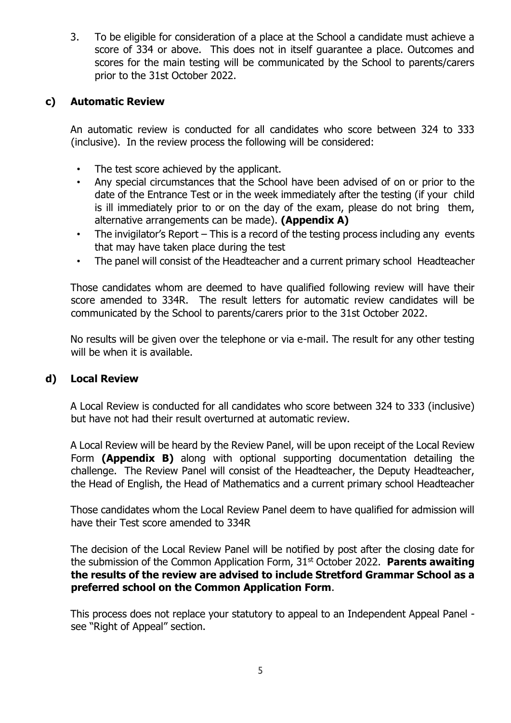3. To be eligible for consideration of a place at the School a candidate must achieve a score of 334 or above. This does not in itself guarantee a place. Outcomes and scores for the main testing will be communicated by the School to parents/carers prior to the 31st October 2022.

#### **c) Automatic Review**

An automatic review is conducted for all candidates who score between 324 to 333 (inclusive). In the review process the following will be considered:

- The test score achieved by the applicant.
- Any special circumstances that the School have been advised of on or prior to the date of the Entrance Test or in the week immediately after the testing (if your child is ill immediately prior to or on the day of the exam, please do not bring them, alternative arrangements can be made). **(Appendix A)**
- The invigilator's Report This is a record of the testing process including any events that may have taken place during the test
- The panel will consist of the Headteacher and a current primary school Headteacher

Those candidates whom are deemed to have qualified following review will have their score amended to 334R. The result letters for automatic review candidates will be communicated by the School to parents/carers prior to the 31st October 2022.

No results will be given over the telephone or via e-mail. The result for any other testing will be when it is available.

#### **d) Local Review**

A Local Review is conducted for all candidates who score between 324 to 333 (inclusive) but have not had their result overturned at automatic review.

A Local Review will be heard by the Review Panel, will be upon receipt of the Local Review Form **(Appendix B)** along with optional supporting documentation detailing the challenge. The Review Panel will consist of the Headteacher, the Deputy Headteacher, the Head of English, the Head of Mathematics and a current primary school Headteacher

Those candidates whom the Local Review Panel deem to have qualified for admission will have their Test score amended to 334R

The decision of the Local Review Panel will be notified by post after the closing date for the submission of the Common Application Form, 31st October 2022. **Parents awaiting the results of the review are advised to include Stretford Grammar School as a preferred school on the Common Application Form**.

This process does not replace your statutory to appeal to an Independent Appeal Panel see "Right of Appeal" section.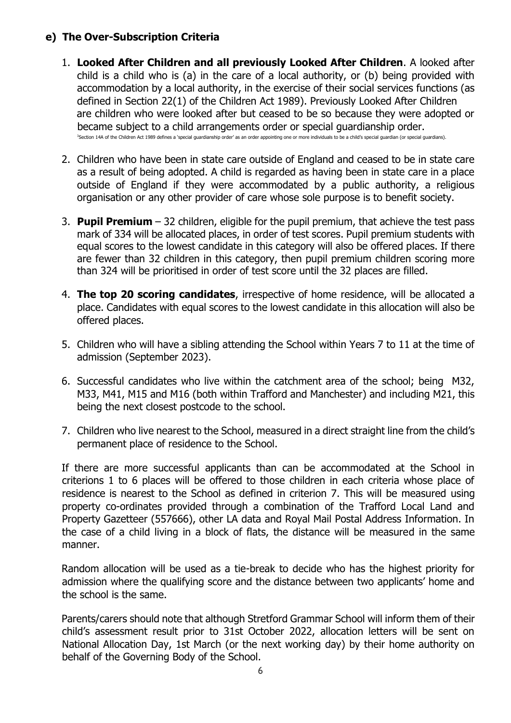### **e) The Over-Subscription Criteria**

- 1. **Looked After Children and all previously Looked After Children**. A looked after child is a child who is (a) in the care of a local authority, or (b) being provided with accommodation by a local authority, in the exercise of their social services functions (as defined in Section 22(1) of the Children Act 1989). Previously Looked After Children are children who were looked after but ceased to be so because they were adopted or became subject to a child arrangements order or special guardianship order. <sup>3</sup>Section 14A of the Children Act 1989 defines a 'special guardianship order' as an order appointing one or more individuals to be a child's special guardian (or special guardians).
- 2. Children who have been in state care outside of England and ceased to be in state care as a result of being adopted. A child is regarded as having been in state care in a place outside of England if they were accommodated by a public authority, a religious organisation or any other provider of care whose sole purpose is to benefit society.
- 3. **Pupil Premium**  32 children, eligible for the pupil premium, that achieve the test pass mark of 334 will be allocated places, in order of test scores. Pupil premium students with equal scores to the lowest candidate in this category will also be offered places. If there are fewer than 32 children in this category, then pupil premium children scoring more than 324 will be prioritised in order of test score until the 32 places are filled.
- 4. **The top 20 scoring candidates**, irrespective of home residence, will be allocated a place. Candidates with equal scores to the lowest candidate in this allocation will also be offered places.
- 5. Children who will have a sibling attending the School within Years 7 to 11 at the time of admission (September 2023).
- 6. Successful candidates who live within the catchment area of the school; being M32, M33, M41, M15 and M16 (both within Trafford and Manchester) and including M21, this being the next closest postcode to the school.
- 7. Children who live nearest to the School, measured in a direct straight line from the child's permanent place of residence to the School.

If there are more successful applicants than can be accommodated at the School in criterions 1 to 6 places will be offered to those children in each criteria whose place of residence is nearest to the School as defined in criterion 7. This will be measured using property co-ordinates provided through a combination of the Trafford Local Land and Property Gazetteer (557666), other LA data and Royal Mail Postal Address Information. In the case of a child living in a block of flats, the distance will be measured in the same manner.

Random allocation will be used as a tie-break to decide who has the highest priority for admission where the qualifying score and the distance between two applicants' home and the school is the same.

Parents/carers should note that although Stretford Grammar School will inform them of their child's assessment result prior to 31st October 2022, allocation letters will be sent on National Allocation Day, 1st March (or the next working day) by their home authority on behalf of the Governing Body of the School.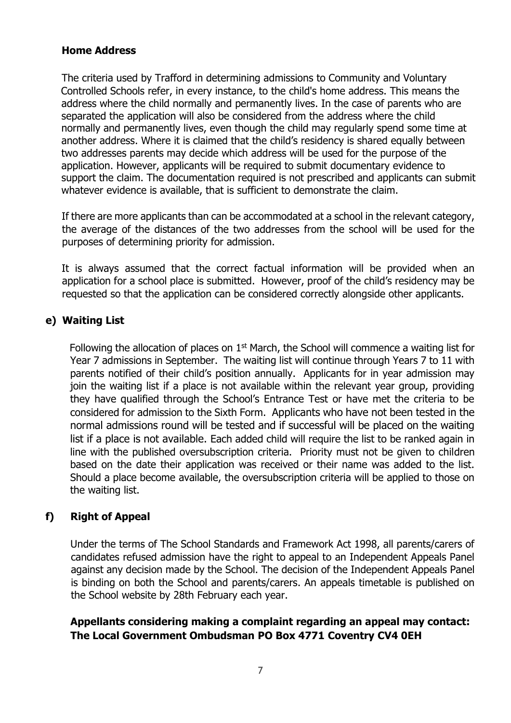#### **Home Address**

The criteria used by Trafford in determining admissions to Community and Voluntary Controlled Schools refer, in every instance, to the child's home address. This means the address where the child normally and permanently lives. In the case of parents who are separated the application will also be considered from the address where the child normally and permanently lives, even though the child may regularly spend some time at another address. Where it is claimed that the child's residency is shared equally between two addresses parents may decide which address will be used for the purpose of the application. However, applicants will be required to submit documentary evidence to support the claim. The documentation required is not prescribed and applicants can submit whatever evidence is available, that is sufficient to demonstrate the claim.

If there are more applicants than can be accommodated at a school in the relevant category, the average of the distances of the two addresses from the school will be used for the purposes of determining priority for admission.

It is always assumed that the correct factual information will be provided when an application for a school place is submitted. However, proof of the child's residency may be requested so that the application can be considered correctly alongside other applicants.

#### **e) Waiting List**

Following the allocation of places on  $1<sup>st</sup>$  March, the School will commence a waiting list for Year 7 admissions in September. The waiting list will continue through Years 7 to 11 with parents notified of their child's position annually. Applicants for in year admission may join the waiting list if a place is not available within the relevant year group, providing they have qualified through the School's Entrance Test or have met the criteria to be considered for admission to the Sixth Form. Applicants who have not been tested in the normal admissions round will be tested and if successful will be placed on the waiting list if a place is not available. Each added child will require the list to be ranked again in line with the published oversubscription criteria. Priority must not be given to children based on the date their application was received or their name was added to the list. Should a place become available, the oversubscription criteria will be applied to those on the waiting list.

## **f) Right of Appeal**

Under the terms of The School Standards and Framework Act 1998, all parents/carers of candidates refused admission have the right to appeal to an Independent Appeals Panel against any decision made by the School. The decision of the Independent Appeals Panel is binding on both the School and parents/carers. An appeals timetable is published on the School website by 28th February each year.

#### **Appellants considering making a complaint regarding an appeal may contact: The Local Government Ombudsman PO Box 4771 Coventry CV4 0EH**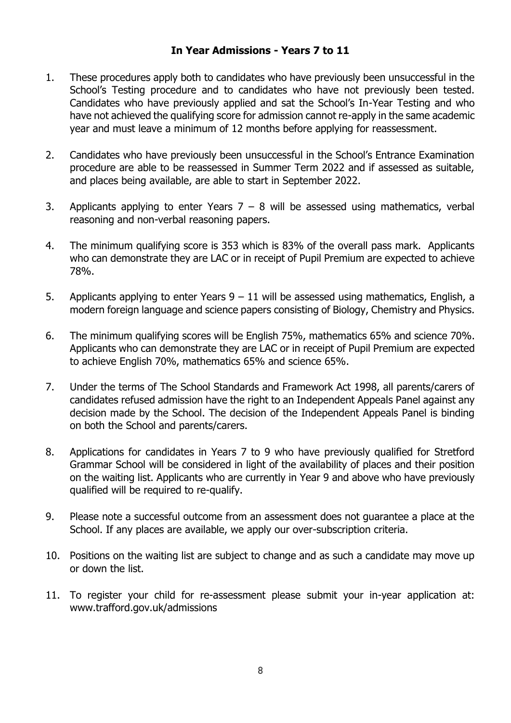#### **In Year Admissions - Years 7 to 11**

- 1. These procedures apply both to candidates who have previously been unsuccessful in the School's Testing procedure and to candidates who have not previously been tested. Candidates who have previously applied and sat the School's In-Year Testing and who have not achieved the qualifying score for admission cannot re-apply in the same academic year and must leave a minimum of 12 months before applying for reassessment.
- 2. Candidates who have previously been unsuccessful in the School's Entrance Examination procedure are able to be reassessed in Summer Term 2022 and if assessed as suitable, and places being available, are able to start in September 2022.
- 3. Applicants applying to enter Years  $7 8$  will be assessed using mathematics, verbal reasoning and non-verbal reasoning papers.
- 4. The minimum qualifying score is 353 which is 83% of the overall pass mark. Applicants who can demonstrate they are LAC or in receipt of Pupil Premium are expected to achieve 78%.
- 5. Applicants applying to enter Years  $9 11$  will be assessed using mathematics, English, a modern foreign language and science papers consisting of Biology, Chemistry and Physics.
- 6. The minimum qualifying scores will be English 75%, mathematics 65% and science 70%. Applicants who can demonstrate they are LAC or in receipt of Pupil Premium are expected to achieve English 70%, mathematics 65% and science 65%.
- 7. Under the terms of The School Standards and Framework Act 1998, all parents/carers of candidates refused admission have the right to an Independent Appeals Panel against any decision made by the School. The decision of the Independent Appeals Panel is binding on both the School and parents/carers.
- 8. Applications for candidates in Years 7 to 9 who have previously qualified for Stretford Grammar School will be considered in light of the availability of places and their position on the waiting list. Applicants who are currently in Year 9 and above who have previously qualified will be required to re-qualify.
- 9. Please note a successful outcome from an assessment does not guarantee a place at the School. If any places are available, we apply our over-subscription criteria.
- 10. Positions on the waiting list are subject to change and as such a candidate may move up or down the list.
- 11. To register your child for re-assessment please submit your in-year application at: www.trafford.gov.uk/admissions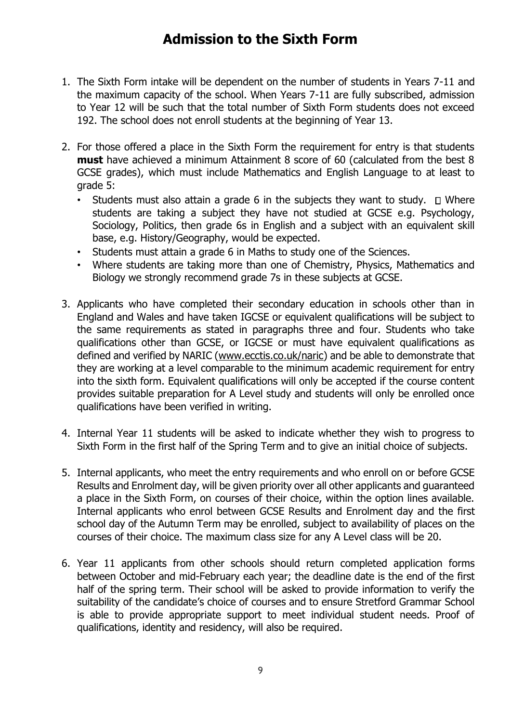# **Admission to the Sixth Form**

- 1. The Sixth Form intake will be dependent on the number of students in Years 7-11 and the maximum capacity of the school. When Years 7-11 are fully subscribed, admission to Year 12 will be such that the total number of Sixth Form students does not exceed 192. The school does not enroll students at the beginning of Year 13.
- 2. For those offered a place in the Sixth Form the requirement for entry is that students **must** have achieved a minimum Attainment 8 score of 60 (calculated from the best 8 GCSE grades), which must include Mathematics and English Language to at least to grade 5:
	- Students must also attain a grade 6 in the subjects they want to study.  $\square$  Where students are taking a subject they have not studied at GCSE e.g. Psychology, Sociology, Politics, then grade 6s in English and a subject with an equivalent skill base, e.g. History/Geography, would be expected.
	- Students must attain a grade 6 in Maths to study one of the Sciences.
	- Where students are taking more than one of Chemistry, Physics, Mathematics and Biology we strongly recommend grade 7s in these subjects at GCSE.
- 3. Applicants who have completed their secondary education in schools other than in England and Wales and have taken IGCSE or equivalent qualifications will be subject to the same requirements as stated in paragraphs three and four. Students who take qualifications other than GCSE, or IGCSE or must have equivalent qualifications as defined and verified by NARIC [\(www.ecctis.co.uk/naric\)](http://www.ecctis.co.uk/naric) and be able to demonstrate that they are working at a level comparable to the minimum academic requirement for entry into the sixth form. Equivalent qualifications will only be accepted if the course content provides suitable preparation for A Level study and students will only be enrolled once qualifications have been verified in writing.
- 4. Internal Year 11 students will be asked to indicate whether they wish to progress to Sixth Form in the first half of the Spring Term and to give an initial choice of subjects.
- 5. Internal applicants, who meet the entry requirements and who enroll on or before GCSE Results and Enrolment day, will be given priority over all other applicants and guaranteed a place in the Sixth Form, on courses of their choice, within the option lines available. Internal applicants who enrol between GCSE Results and Enrolment day and the first school day of the Autumn Term may be enrolled, subject to availability of places on the courses of their choice. The maximum class size for any A Level class will be 20.
- 6. Year 11 applicants from other schools should return completed application forms between October and mid-February each year; the deadline date is the end of the first half of the spring term. Their school will be asked to provide information to verify the suitability of the candidate's choice of courses and to ensure Stretford Grammar School is able to provide appropriate support to meet individual student needs. Proof of qualifications, identity and residency, will also be required.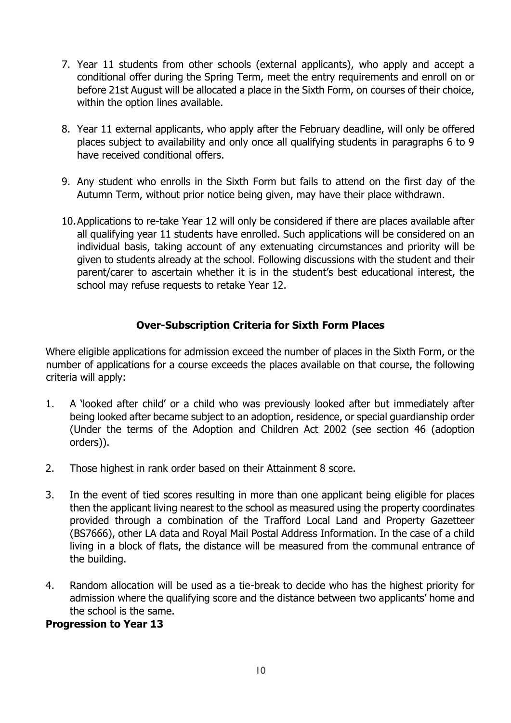- 7. Year 11 students from other schools (external applicants), who apply and accept a conditional offer during the Spring Term, meet the entry requirements and enroll on or before 21st August will be allocated a place in the Sixth Form, on courses of their choice, within the option lines available.
- 8. Year 11 external applicants, who apply after the February deadline, will only be offered places subject to availability and only once all qualifying students in paragraphs 6 to 9 have received conditional offers.
- 9. Any student who enrolls in the Sixth Form but fails to attend on the first day of the Autumn Term, without prior notice being given, may have their place withdrawn.
- 10.Applications to re-take Year 12 will only be considered if there are places available after all qualifying year 11 students have enrolled. Such applications will be considered on an individual basis, taking account of any extenuating circumstances and priority will be given to students already at the school. Following discussions with the student and their parent/carer to ascertain whether it is in the student's best educational interest, the school may refuse requests to retake Year 12.

## **Over-Subscription Criteria for Sixth Form Places**

Where eligible applications for admission exceed the number of places in the Sixth Form, or the number of applications for a course exceeds the places available on that course, the following criteria will apply:

- 1. A 'looked after child' or a child who was previously looked after but immediately after being looked after became subject to an adoption, residence, or special guardianship order (Under the terms of the Adoption and Children Act 2002 (see section 46 (adoption orders)).
- 2. Those highest in rank order based on their Attainment 8 score.
- 3. In the event of tied scores resulting in more than one applicant being eligible for places then the applicant living nearest to the school as measured using the property coordinates provided through a combination of the Trafford Local Land and Property Gazetteer (BS7666), other LA data and Royal Mail Postal Address Information. In the case of a child living in a block of flats, the distance will be measured from the communal entrance of the building.
- 4. Random allocation will be used as a tie-break to decide who has the highest priority for admission where the qualifying score and the distance between two applicants' home and the school is the same.

#### **Progression to Year 13**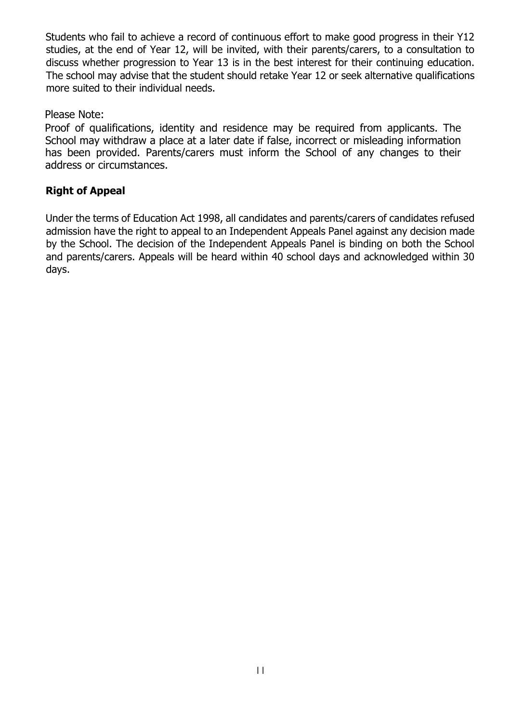Students who fail to achieve a record of continuous effort to make good progress in their Y12 studies, at the end of Year 12, will be invited, with their parents/carers, to a consultation to discuss whether progression to Year 13 is in the best interest for their continuing education. The school may advise that the student should retake Year 12 or seek alternative qualifications more suited to their individual needs.

#### Please Note:

Proof of qualifications, identity and residence may be required from applicants. The School may withdraw a place at a later date if false, incorrect or misleading information has been provided. Parents/carers must inform the School of any changes to their address or circumstances.

## **Right of Appeal**

Under the terms of Education Act 1998, all candidates and parents/carers of candidates refused admission have the right to appeal to an Independent Appeals Panel against any decision made by the School. The decision of the Independent Appeals Panel is binding on both the School and parents/carers. Appeals will be heard within 40 school days and acknowledged within 30 days.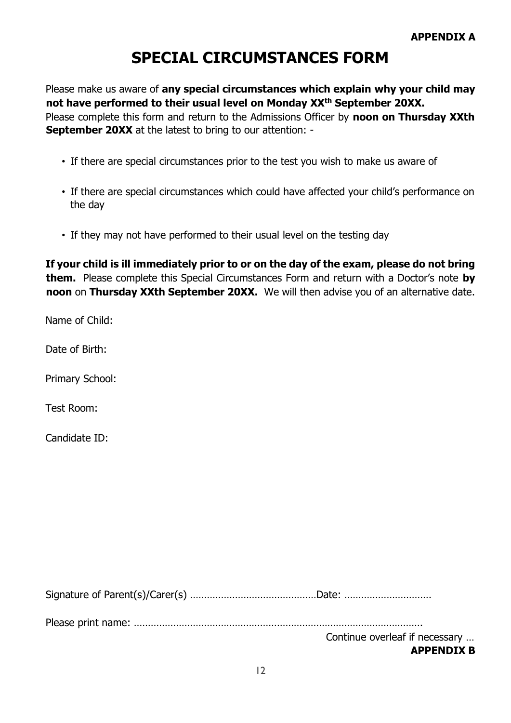# **SPECIAL CIRCUMSTANCES FORM**

Please make us aware of **any special circumstances which explain why your child may not have performed to their usual level on Monday XXth September 20XX.** Please complete this form and return to the Admissions Officer by **noon on Thursday XXth September 20XX** at the latest to bring to our attention: -

- If there are special circumstances prior to the test you wish to make us aware of
- If there are special circumstances which could have affected your child's performance on the day
- If they may not have performed to their usual level on the testing day

**If your child is ill immediately prior to or on the day of the exam, please do not bring them.** Please complete this Special Circumstances Form and return with a Doctor's note **by noon** on **Thursday XXth September 20XX.** We will then advise you of an alternative date.

Name of Child:

Date of Birth:

Primary School:

Test Room:

Candidate ID:

Signature of Parent(s)/Carer(s) ………………………………………Date: ………………………….

Please print name: ………………………………………………………………………………………….

Continue overleaf if necessary …

#### **APPENDIX B**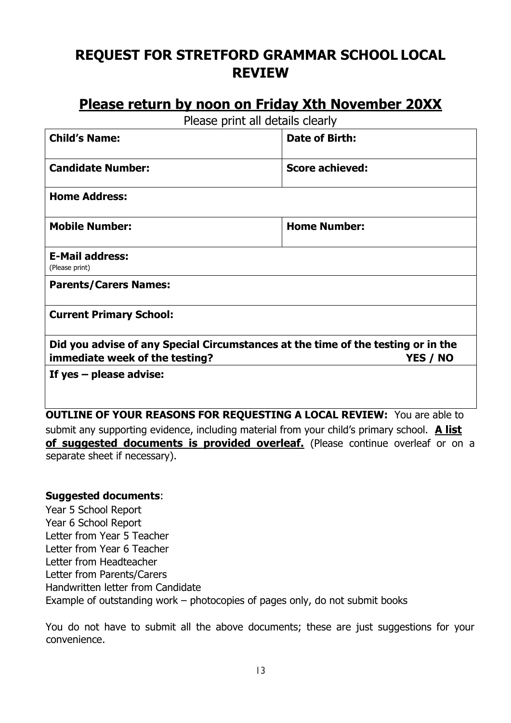# **REQUEST FOR STRETFORD GRAMMAR SCHOOL LOCAL REVIEW**

## **Please return by noon on Friday Xth November 20XX**

Please print all details clearly

| <b>Child's Name:</b>                                                             | Date of Birth:         |
|----------------------------------------------------------------------------------|------------------------|
| <b>Candidate Number:</b>                                                         | <b>Score achieved:</b> |
| <b>Home Address:</b>                                                             |                        |
| <b>Mobile Number:</b>                                                            | <b>Home Number:</b>    |
| <b>E-Mail address:</b><br>(Please print)                                         |                        |
| <b>Parents/Carers Names:</b>                                                     |                        |
| <b>Current Primary School:</b>                                                   |                        |
| Did you advise of any Special Circumstances at the time of the testing or in the |                        |
| immediate week of the testing?                                                   | YES / NO               |
| If yes $-$ please advise:                                                        |                        |
|                                                                                  |                        |

**OUTLINE OF YOUR REASONS FOR REQUESTING A LOCAL REVIEW:** You are able to submit any supporting evidence, including material from your child's primary school. **A list of suggested documents is provided overleaf.** (Please continue overleaf or on a separate sheet if necessary).

#### **Suggested documents**:

Year 5 School Report Year 6 School Report Letter from Year 5 Teacher Letter from Year 6 Teacher Letter from Headteacher Letter from Parents/Carers Handwritten letter from Candidate Example of outstanding work – photocopies of pages only, do not submit books

You do not have to submit all the above documents; these are just suggestions for your convenience.